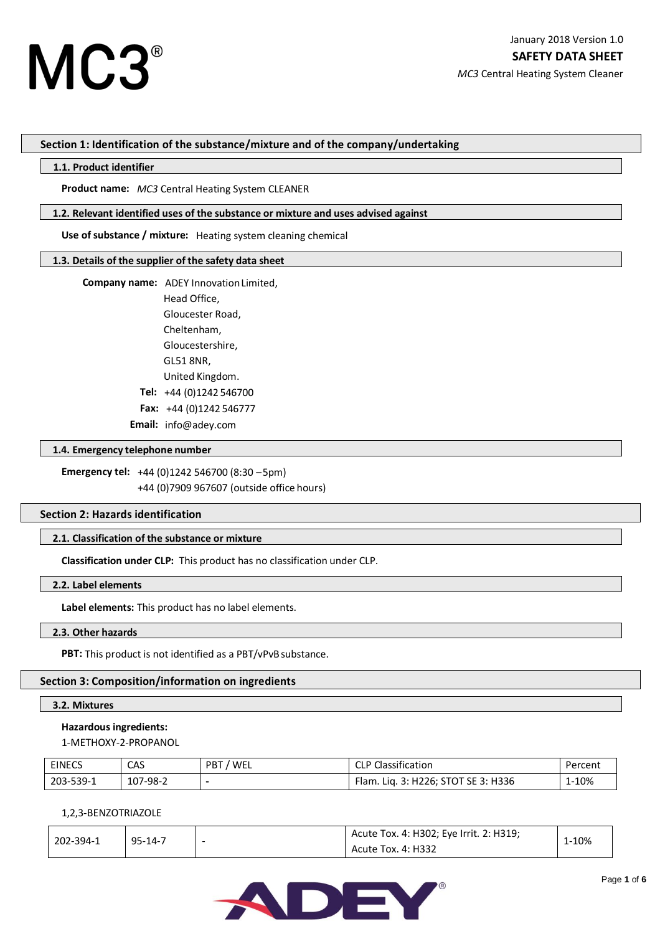# **Section 1: Identification of the substance/mixture and of the company/undertaking**

# **1.1. Product identifier**

**Product name:** *MC3* Central Heating System CLEANER

## **1.2. Relevant identified uses of the substance or mixture and uses advised against**

**Use of substance / mixture:** Heating system cleaning chemical

## **1.3. Details of the supplier of the safety data sheet**

 **Company name:** ADEY InnovationLimited,

Head Office, Gloucester Road, Cheltenham, Gloucestershire, GL51 8NR, United Kingdom. **Tel:** +44 (0)1242 546700 **Fax:** +44 (0)1242 546777  **Email:** info@adey.com

**1.4. Emergency telephone number**

**Emergency tel:** +44 (0)1242 546700 (8:30 –5pm) +44 (0)7909 967607 (outside office hours)

## **Section 2: Hazards identification**

# **2.1. Classification of the substance or mixture**

**Classification under CLP:** This product has no classification under CLP.

## **2.2. Label elements**

**Label elements:** This product has no label elements.

# **2.3. Other hazards**

PBT: This product is not identified as a PBT/vPvB substance.

# **Section 3: Composition/information on ingredients**

## **3.2. Mixtures**

## **Hazardous ingredients:**

1-METHOXY-2-PROPANOL

| <b>EINECS</b> | CAS      | / WEL<br>PBT. | <sup>1</sup> P Classification       | Percent |
|---------------|----------|---------------|-------------------------------------|---------|
| 203-539-1     | 107-98-2 |               | Flam. Liq. 3: H226; STOT SE 3: H336 | 1-10%   |

## 1,2,3-BENZOTRIAZOLE

| 202-394-1 | $95 - 14 - 7$ |   | Acute Tox. 4: H302; Eye Irrit. 2: H319; | 1-10% |  |
|-----------|---------------|---|-----------------------------------------|-------|--|
|           |               | - | Acute Tox. 4: H332                      |       |  |

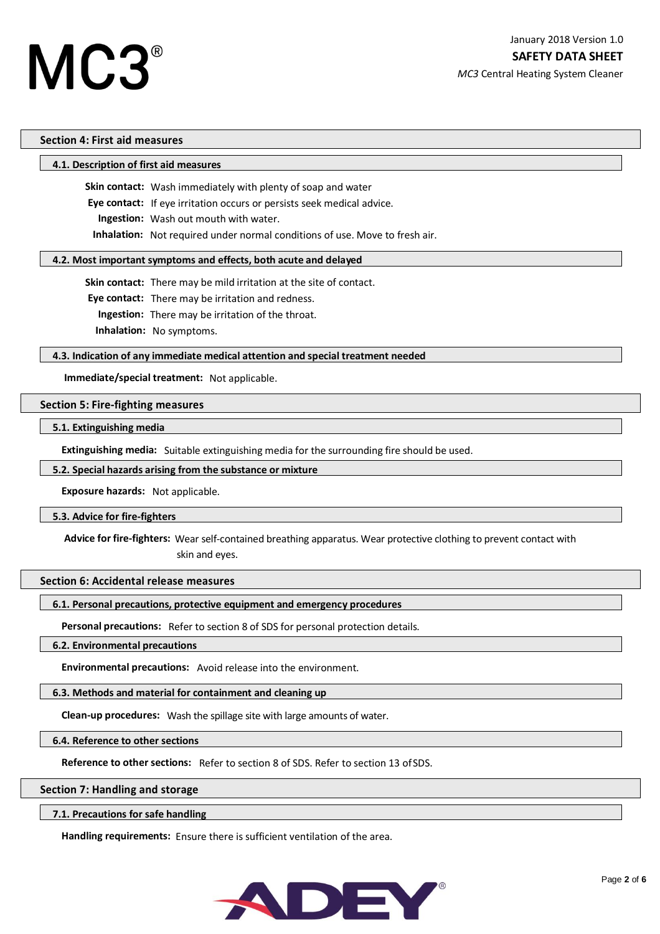# **Section 4: First aid measures**

## **4.1. Description of first aid measures**

**Skin contact:** Wash immediately with plenty of soap and water

**Eye contact:** If eye irritation occurs or persists seek medical advice.

 **Ingestion:** Wash out mouth with water.

**Inhalation:** Not required under normal conditions of use. Move to fresh air.

## **4.2. Most important symptoms and effects, both acute and delayed**

**Skin contact:** There may be mild irritation at the site of contact.

**Eye contact:** There may be irritation and redness.

 **Ingestion:** There may be irritation of the throat.

**Inhalation:** No symptoms.

# **4.3. Indication of any immediate medical attention and special treatment needed**

**Immediate/special treatment:** Not applicable.

# **Section 5: Fire-fighting measures**

# **5.1. Extinguishing media**

**Extinguishing media:** Suitable extinguishing media for the surrounding fire should be used.

## **5.2. Special hazards arising from the substance or mixture**

**Exposure hazards:** Not applicable.

## **5.3. Advice for fire-fighters**

**Advice for fire-fighters:** Wear self-contained breathing apparatus. Wear protective clothing to prevent contact with skin and eyes.

## **Section 6: Accidental release measures**

## **6.1. Personal precautions, protective equipment and emergency procedures**

**Personal precautions:** Refer to section 8 of SDS for personal protection details.

# **6.2. Environmental precautions**

**Environmental precautions:** Avoid release into the environment.

# **6.3. Methods and material for containment and cleaning up**

**Clean-up procedures:** Wash the spillage site with large amounts of water.

## **6.4. Reference to other sections**

**Reference to other sections:** Refer to section 8 of SDS. Refer to section 13 ofSDS.

## **Section 7: Handling and storage**

**7.1. Precautions for safe handling**

**Handling requirements:** Ensure there is sufficient ventilation of the area.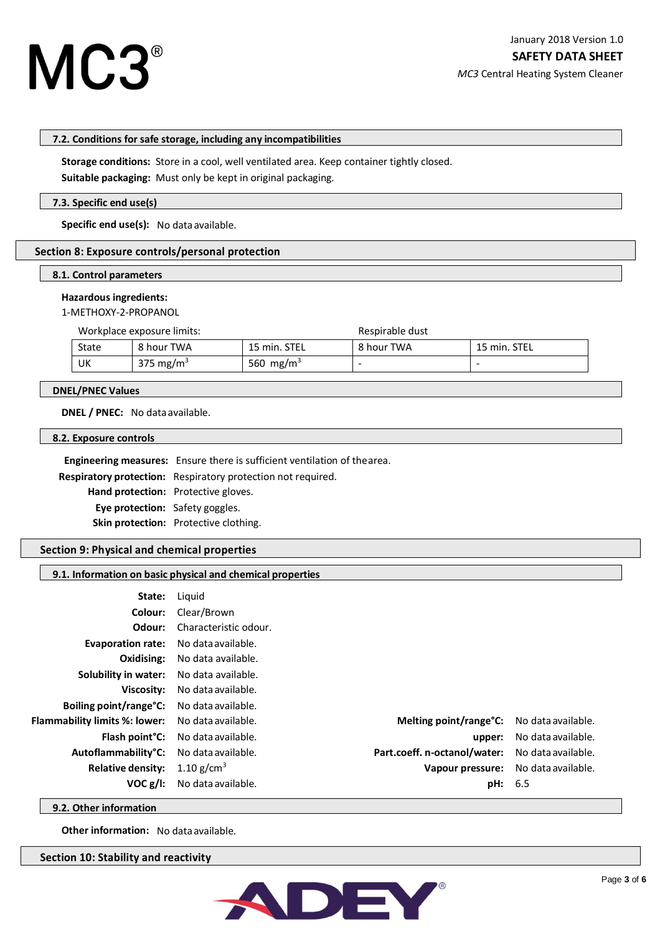

*MC3* Central Heating System Cleaner

#### **7.2. Conditions for safe storage, including any incompatibilities**

**Storage conditions:** Store in a cool, well ventilated area. Keep container tightly closed.

**Suitable packaging:** Must only be kept in original packaging.

# **7.3. Specific end use(s)**

Specific end use(s): No data available.

## **Section 8: Exposure controls/personal protection**

# **8.1. Control parameters**

#### **Hazardous ingredients:**

1-METHOXY-2-PROPANOL

Workplace exposure limits: Workplace exposure limits:

| <b>State</b> | 8 hour TWA            | 15 min. STEL          | 8 hour TWA | 15 min. STEL |
|--------------|-----------------------|-----------------------|------------|--------------|
| UK           | 375 mg/m <sup>3</sup> | 560 mg/m <sup>3</sup> |            | -            |

# **DNEL/PNEC Values**

**DNEL / PNEC:** No data available.

#### **8.2. Exposure controls**

**Engineering measures:** Ensure there is sufficient ventilation of thearea.  **Respiratory protection:** Respiratory protection not required. **Hand protection:** Protective gloves. **Eye protection:** Safety goggles. **Skin protection:** Protective clothing.

# **Section 9: Physical and chemical properties**

# **9.1. Information on basic physical and chemical properties**

| State:                                                  | Liguid                                    |                                     |                    |  |
|---------------------------------------------------------|-------------------------------------------|-------------------------------------|--------------------|--|
| Colour:                                                 | Clear/Brown                               |                                     |                    |  |
| Odour:                                                  | Characteristic odour.                     |                                     |                    |  |
| Evaporation rate: No data available.                    |                                           |                                     |                    |  |
|                                                         | <b>Oxidising:</b> No data available.      |                                     |                    |  |
| Solubility in water: No data available.                 |                                           |                                     |                    |  |
| Viscosity:                                              | No data available.                        |                                     |                    |  |
| <b>Boiling point/range °C:</b> No data available.       |                                           |                                     |                    |  |
| <b>Flammability limits %: lower:</b> No data available. |                                           | Melting point/range°C:              | No data available. |  |
|                                                         | <b>Flash point °C:</b> No data available. | upper:                              | No data available. |  |
| Autoflammability <sup>°</sup> C: No data available.     |                                           | Part.coeff. n-octanol/water:        | No data available. |  |
| <b>Relative density:</b>                                | 1.10 g/cm <sup>3</sup>                    | Vapour pressure: No data available. |                    |  |
| VOC g/I:                                                | No data available.                        | pH: 6.5                             |                    |  |

**9.2. Other information**

**Other information:** No data available.

**Section 10: Stability and reactivity**

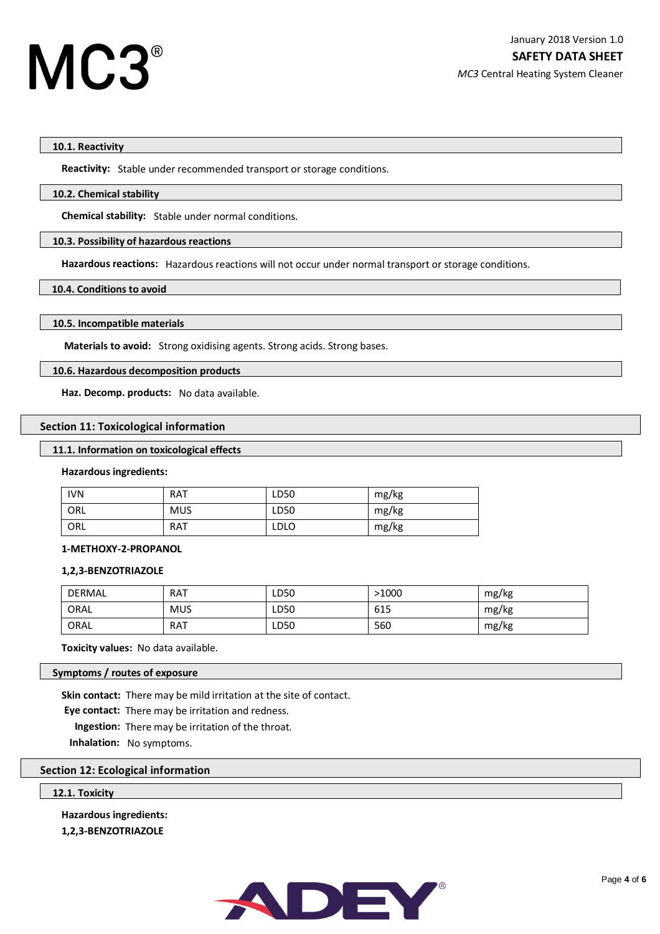# **10.1. Reactivity**

**Reactivity:** Stable under recommended transport or storage conditions.

## **10.2. Chemical stability**

**Chemical stability:** Stable under normal conditions.

# **10.3. Possibility of hazardous reactions**

**Hazardous reactions:** Hazardous reactions will not occur under normal transport or storage conditions.

# **10.4. Conditions to avoid**

# **10.5. Incompatible materials**

**Materials to avoid:** Strong oxidising agents. Strong acids. Strong bases.

# **10.6. Hazardous decomposition products**

**Haz. Decomp. products:** No data available.

# **Section 11: Toxicological information**

# **11.1. Information on toxicological effects**

## **Hazardous ingredients:**

| <b>IVN</b> | <b>RAT</b> | LD50        | mg/kg |
|------------|------------|-------------|-------|
| ORL        | <b>MUS</b> | LD50        | mg/kg |
| ORL        | <b>RAT</b> | <b>LDLO</b> | mg/kg |

# **1-METHOXY-2-PROPANOL**

# **1,2,3-BENZOTRIAZOLE**

| <b>DERMAL</b> | <b>RAT</b> | LD50 | >1000 | mg/kg |
|---------------|------------|------|-------|-------|
| ORAL          | <b>MUS</b> | LD50 | 615   | mg/kg |
| ORAL          | <b>RAT</b> | LD50 | 560   | mg/kg |

**Toxicity values:** No data available.

# **Symptoms / routes of exposure**

**Skin contact:** There may be mild irritation at the site of contact.

**Eye contact:** There may be irritation and redness.

 **Ingestion:** There may be irritation of the throat.

**Inhalation:** No symptoms.

# **Section 12: Ecological information**

# **12.1. Toxicity**

**Hazardous ingredients:**

**1,2,3-BENZOTRIAZOLE**

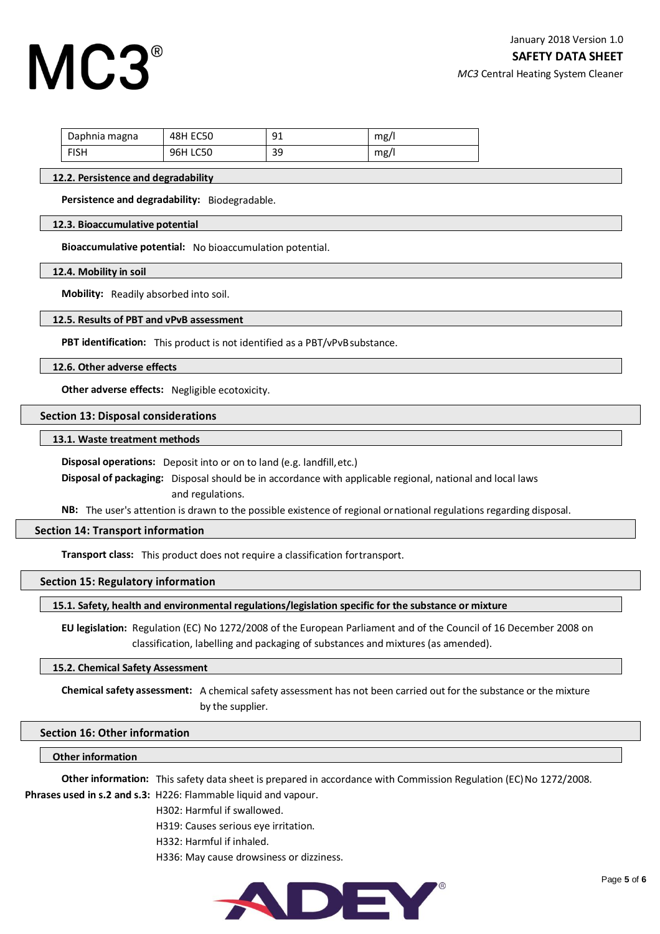# MC3

*MC3* Central Heating System Cleaner

| Daphnia magna | <b>48H EC50</b> | 91 | mg/1 |
|---------------|-----------------|----|------|
| <b>FISH</b>   | 96H LC50        | 39 | mg/  |

# **12.2. Persistence and degradability**

**Persistence and degradability:** Biodegradable.

#### **12.3. Bioaccumulative potential**

**Bioaccumulative potential:** No bioaccumulation potential.

**12.4. Mobility in soil**

**Mobility:** Readily absorbed into soil.

#### **12.5. Results of PBT and vPvB assessment**

**PBT identification:** This product is not identified as a PBT/vPvBsubstance.

**12.6. Other adverse effects**

**Other adverse effects:** Negligible ecotoxicity.

#### **Section 13: Disposal considerations**

#### **13.1. Waste treatment methods**

**Disposal operations:** Deposit into or on to land (e.g. landfill,etc.)

**Disposal of packaging:** Disposal should be in accordance with applicable regional, national and local laws and regulations.

**NB:** The user's attention is drawn to the possible existence of regional ornational regulations regarding disposal.

#### **Section 14: Transport information**

**Transport class:** This product does not require a classification fortransport.

## **Section 15: Regulatory information**

# **15.1. Safety, health and environmental regulations/legislation specific for the substance or mixture**

**EU legislation:** Regulation (EC) No 1272/2008 of the European Parliament and of the Council of 16 December 2008 on classification, labelling and packaging of substances and mixtures (as amended).

#### **15.2. Chemical Safety Assessment**

**Chemical safety assessment:** A chemical safety assessment has not been carried out for the substance or the mixture by the supplier.

## **Section 16: Other information**

## **Other information**

**Other information:** This safety data sheet is prepared in accordance with Commission Regulation (EC)No 1272/2008. **Phrases used in s.2 and s.3:** H226: Flammable liquid and vapour.

H302: Harmful if swallowed.

H319: Causes serious eye irritation.

H332: Harmful if inhaled.

H336: May cause drowsiness or dizziness.